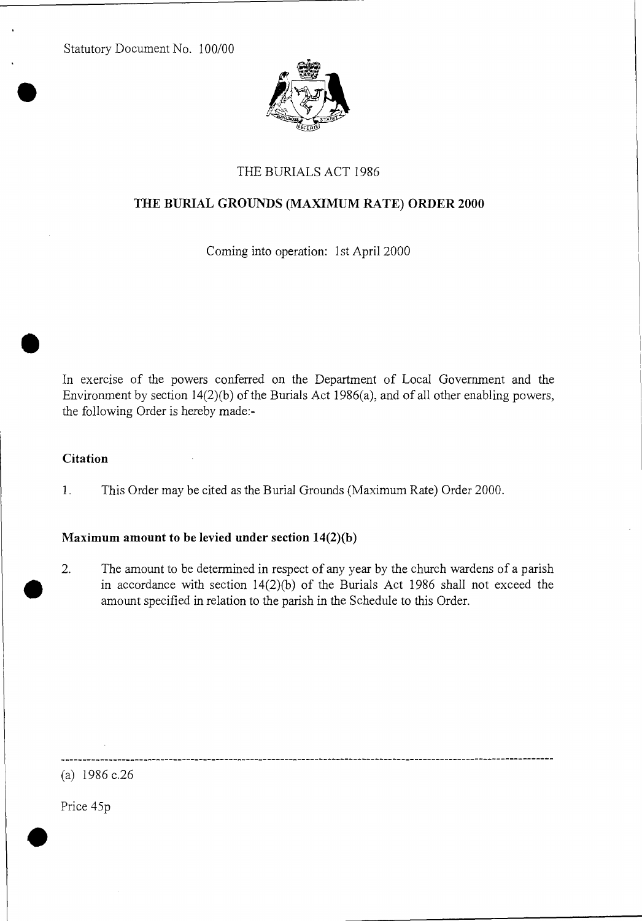Statutory Document No. 100/00



# THE BURIALS ACT 1986

### THE BURIAL GROUNDS (MAXIMUM RATE) ORDER 2000

Coming into operation: 1st April 2000

In exercise of the powers conferred on the Department of Local Government and the Environment by section 14(2)(b) of the Burials Act 1986(a), and of all other enabling powers, the following Order is hereby made:-

#### **Citation**

1. This Order may be cited as the Burial Grounds (Maximum Rate) Order 2000.

#### Maximum amount to be levied under section 14(2)(b)

2. The amount to be determined in respect of any year by the church wardens of a parish in accordance with section 14(2)(b) of the Burials Act 1986 shall not exceed the amount specified in relation to the parish in the Schedule to this Order.

(a) 1986 c.26

Price 45p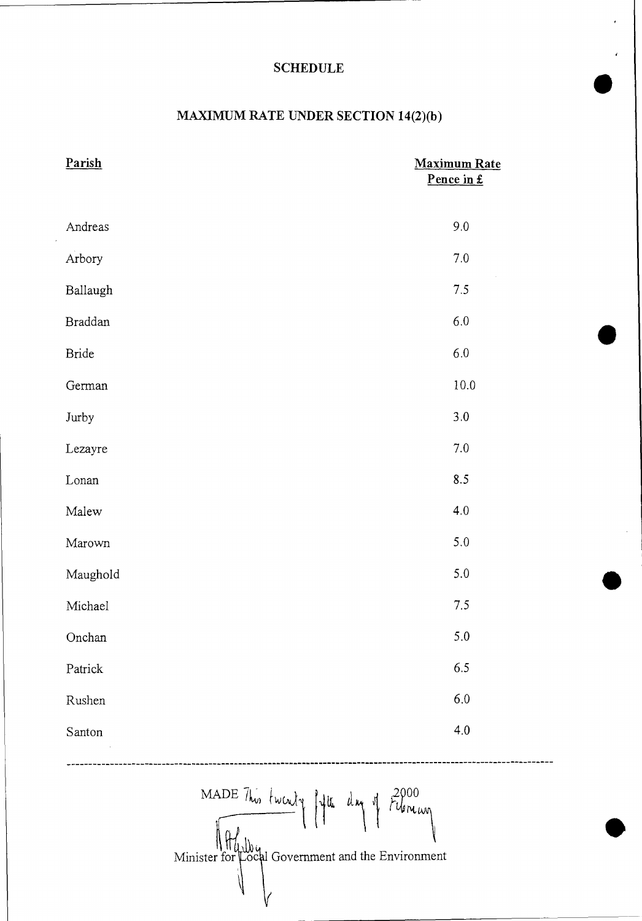# SCHEDULE

# MAXIMUM RATE UNDER SECTION 14(2)(b)

| Parish         | <b>Maximum Rate</b><br>Pence in £ |
|----------------|-----------------------------------|
|                |                                   |
| Andreas        | 9.0                               |
| Arbory         | $7.0\,$                           |
| Ballaugh       | 7.5                               |
| <b>Braddan</b> | $6.0\,$                           |
| <b>Bride</b>   | $6.0\,$                           |
| German         | $10.0\,$                          |
| Jurby          | $3.0\,$                           |
| Lezayre        | $7.0\,$                           |
| Lonan          | 8.5                               |
| Malew          | 4.0                               |
| Marown         | 5.0                               |
| Maughold       | 5.0                               |
| Michael        | $7.5\,$                           |
| Onchan         | 5.0                               |
| Patrick        | 6.5                               |
| Rushen         | $6.0\,$                           |
| Santon         | $4.0\,$                           |
|                |                                   |

MADE This twenty lift due of  $2000$ Minister for Local Government and the Environment